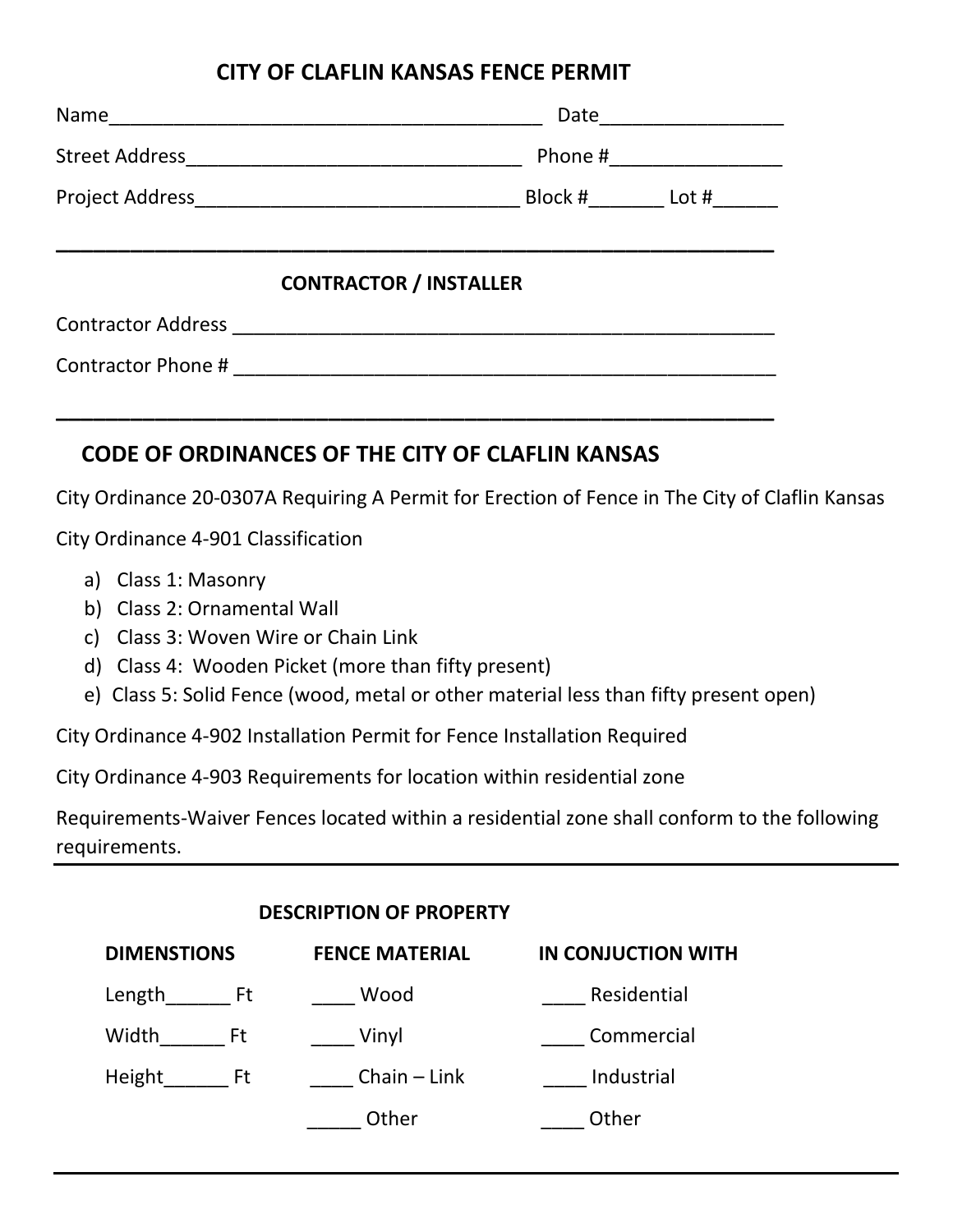## **CITY OF CLAFLIN KANSAS FENCE PERMIT**

|                                                                                                                                                                                                                                           | <b>CONTRACTOR / INSTALLER</b> |  |
|-------------------------------------------------------------------------------------------------------------------------------------------------------------------------------------------------------------------------------------------|-------------------------------|--|
|                                                                                                                                                                                                                                           |                               |  |
|                                                                                                                                                                                                                                           |                               |  |
|                                                                                                                                                                                                                                           |                               |  |
| <b>CODE OF ORDINANCES OF THE CITY OF CLAFLIN KANSAS</b>                                                                                                                                                                                   |                               |  |
| City Ordinance 20-0307A Requiring A Permit for Erection of Fence in The City of Claflin Kansas                                                                                                                                            |                               |  |
| City Ordinance 4-901 Classification                                                                                                                                                                                                       |                               |  |
| a) Class 1: Masonry<br>b) Class 2: Ornamental Wall<br>c) Class 3: Woven Wire or Chain Link<br>d) Class 4: Wooden Picket (more than fifty present)<br>e) Class 5: Solid Fence (wood, metal or other material less than fifty present open) |                               |  |
| City Ordinance 4-902 Installation Permit for Fence Installation Required                                                                                                                                                                  |                               |  |
| City Ordinance 4-903 Requirements for location within residential zone                                                                                                                                                                    |                               |  |
| Requirements-Waiver Fences located within a residential zone shall conform to the following<br>requirements.                                                                                                                              |                               |  |
| <b>DESCRIPTION OF PROPERTY</b>                                                                                                                                                                                                            |                               |  |

| <b>DIMENSTIONS</b> | <b>FENCE MATERIAL</b> | IN CONJUCTION WITH |
|--------------------|-----------------------|--------------------|
| Length<br>a Ft     | Wood                  | Residential        |
| Width<br>- Ft      | Vinyl                 | Commercial         |
| Height<br>Ft       | $Chain$ – Link        | Industrial         |
|                    | Other                 | Other              |